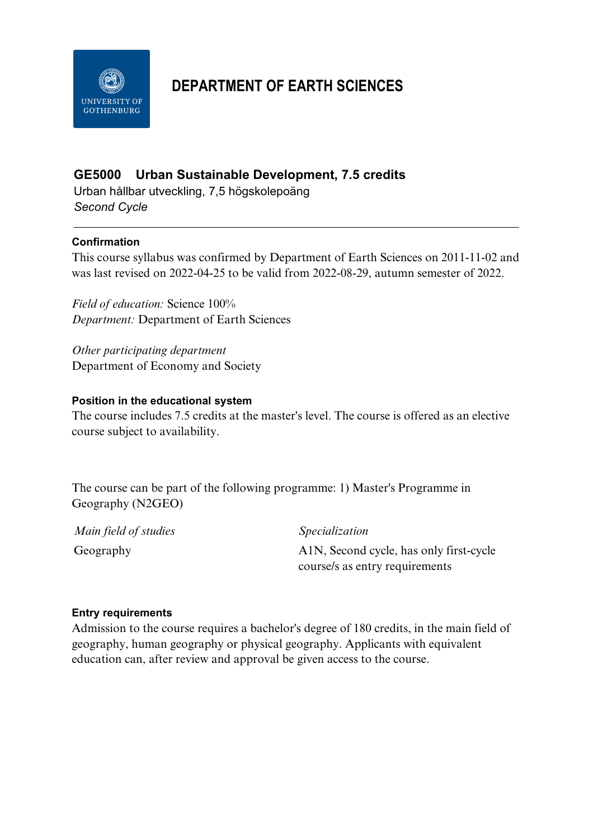

# **DEPARTMENT OF EARTH SCIENCES**

# **GE5000 Urban Sustainable Development, 7.5 credits**

Urban hållbar utveckling, 7,5 högskolepoäng *Second Cycle*

## **Confirmation**

This course syllabus was confirmed by Department of Earth Sciences on 2011-11-02 and was last revised on 2022-04-25 to be valid from 2022-08-29, autumn semester of 2022.

*Field of education:* Science 100% *Department:* Department of Earth Sciences

*Other participating department* Department of Economy and Society

## **Position in the educational system**

The course includes 7.5 credits at the master's level. The course is offered as an elective course subject to availability.

The course can be part of the following programme: 1) Master's Programme in Geography (N2GEO)

| Main field of studies | Specialization                          |
|-----------------------|-----------------------------------------|
| Geography             | A1N, Second cycle, has only first-cycle |
|                       | course/s as entry requirements          |

#### **Entry requirements**

Admission to the course requires a bachelor's degree of 180 credits, in the main field of geography, human geography or physical geography. Applicants with equivalent education can, after review and approval be given access to the course.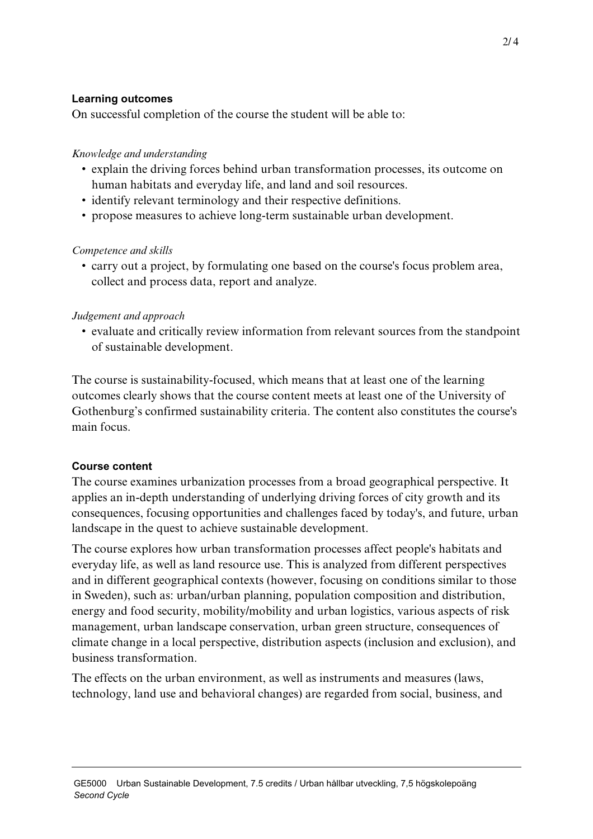## **Learning outcomes**

On successful completion of the course the student will be able to:

# *Knowledge and understanding*

- explain the driving forces behind urban transformation processes, its outcome on human habitats and everyday life, and land and soil resources.
- identify relevant terminology and their respective definitions.
- propose measures to achieve long-term sustainable urban development.

## *Competence and skills*

• carry out a project, by formulating one based on the course's focus problem area, collect and process data, report and analyze.

# *Judgement and approach*

• evaluate and critically review information from relevant sources from the standpoint of sustainable development.

The course is sustainability-focused, which means that at least one of the learning outcomes clearly shows that the course content meets at least one of the University of Gothenburg's confirmed sustainability criteria. The content also constitutes the course's main focus.

## **Course content**

The course examines urbanization processes from a broad geographical perspective. It applies an in-depth understanding of underlying driving forces of city growth and its consequences, focusing opportunities and challenges faced by today's, and future, urban landscape in the quest to achieve sustainable development.

The course explores how urban transformation processes affect people's habitats and everyday life, as well as land resource use. This is analyzed from different perspectives and in different geographical contexts (however, focusing on conditions similar to those in Sweden), such as: urban/urban planning, population composition and distribution, energy and food security, mobility/mobility and urban logistics, various aspects of risk management, urban landscape conservation, urban green structure, consequences of climate change in a local perspective, distribution aspects (inclusion and exclusion), and business transformation.

The effects on the urban environment, as well as instruments and measures (laws, technology, land use and behavioral changes) are regarded from social, business, and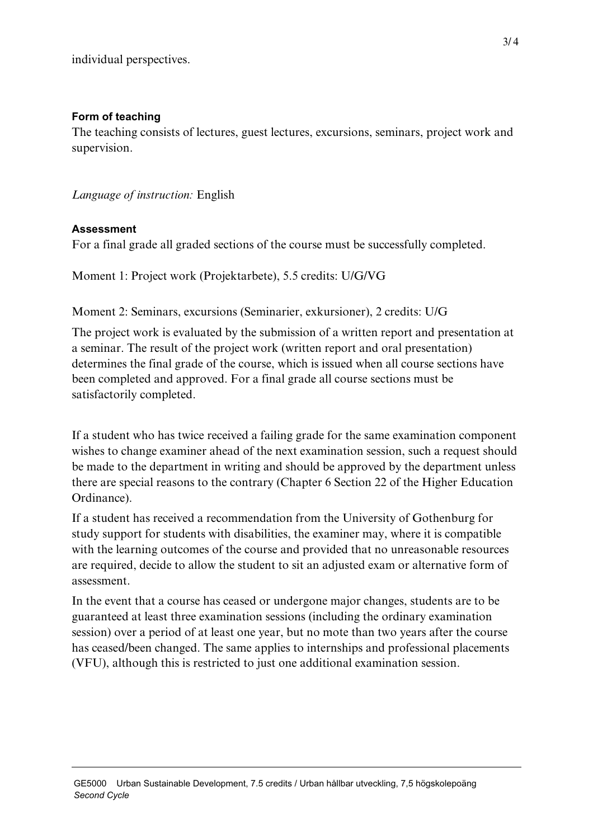## **Form of teaching**

The teaching consists of lectures, guest lectures, excursions, seminars, project work and supervision.

*Language of instruction:* English

## **Assessment**

For a final grade all graded sections of the course must be successfully completed.

Moment 1: Project work (Projektarbete), 5.5 credits: U/G/VG

# Moment 2: Seminars, excursions (Seminarier, exkursioner), 2 credits: U/G

The project work is evaluated by the submission of a written report and presentation at a seminar. The result of the project work (written report and oral presentation) determines the final grade of the course, which is issued when all course sections have been completed and approved. For a final grade all course sections must be satisfactorily completed.

If a student who has twice received a failing grade for the same examination component wishes to change examiner ahead of the next examination session, such a request should be made to the department in writing and should be approved by the department unless there are special reasons to the contrary (Chapter 6 Section 22 of the Higher Education Ordinance).

If a student has received a recommendation from the University of Gothenburg for study support for students with disabilities, the examiner may, where it is compatible with the learning outcomes of the course and provided that no unreasonable resources are required, decide to allow the student to sit an adjusted exam or alternative form of assessment.

In the event that a course has ceased or undergone major changes, students are to be guaranteed at least three examination sessions (including the ordinary examination session) over a period of at least one year, but no mote than two years after the course has ceased/been changed. The same applies to internships and professional placements (VFU), although this is restricted to just one additional examination session.